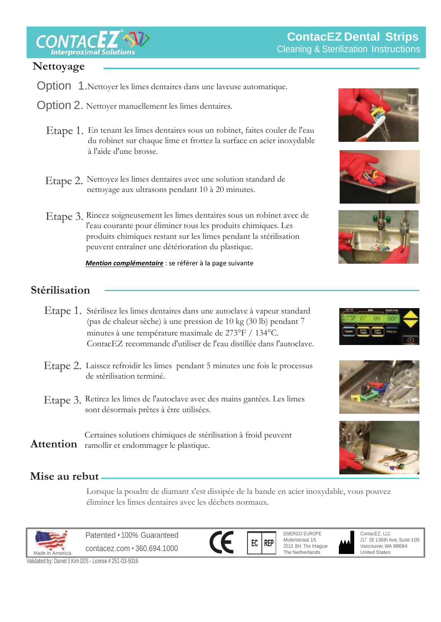$\textsf{ITACEZ}$ 

# $Nettoyage$

- Option 1. Nettoyer les limes dentaires dans une laveuse automatique.
- Option 2. Nettoyer manuellement les limes dentaires.
	- Etape 1. En tenant les limes dentaires sous un robinet, faites couler de l'eau du robinet sur chaque lime et frottez la surface en acier inoxydable à l'aide d'une brosse.
	- Etape 2. Nettoyez les limes dentaires avec une solution standard de nettoyage aux ultrasons pendant 10 à 20 minutes.
- l'eau courante pour éliminer tous les produits chimiques. Les produits chimiques restant sur les limes pendant la stérilisation Etape 3. Rincez soigneusement les limes dentaires sous un robinet avec de peuvent entraîner une détérioration du plastique.

 *Mention complémentaire* : se référer à la page suivante







# Sterilization **Stérilisation**

- Etape 1. Stérilisez les limes dentaires dans une autoclave à vapeur standard (pas de chaleur sèche) à une pression de 10 kg (30 lb) pendant 7 minutes à une température maximale de 273°F / 134°C. ContacEZ recommande d'utiliser de l'eau distillée dans l'autoclave.
- Step 2. Etape 2. Laissez refroidir les limes pendant 5 minutes une fois le processus de stérilisation terminé.
	- Etape 3. Retirez les limes de l'autoclave avec des mains gantées. Les limes sont désormais prêtes à être utilisées.

Certaines solutions chimiques de stérilisation à froid peuvent Attention ramollir et endommager le plastique.





# Disposal **Mise au rebut**

Lorsque la poudre de diamant s'est dissipée de la bande en acier inoxydable, vous pouvez éliminer les limes dentaires avec les déchets normaux.



Patented • 100% Guaranteed contacez.com • 360.694.1000



EMERGO EUROPE Molenstraat 15 2513 BH, The Hague The Netherlands

ContacEZ, LLC 217 SE 136th Ave, Suite 105 Vancouver, WA 98684 United States

Validated by: Daniel <sup>S</sup> Kim DDS - License # 251-03-5016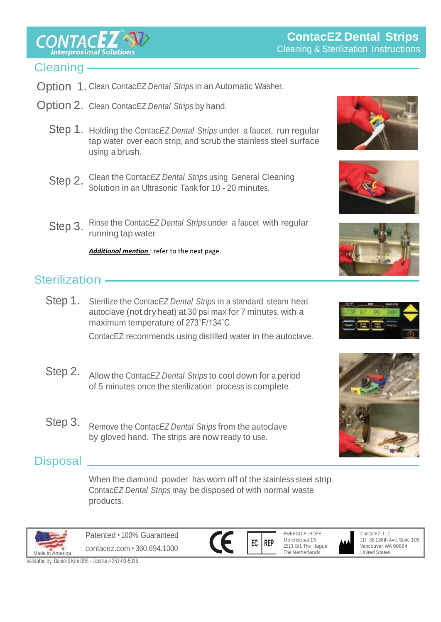**CONTACEZ** 

## Cleaning-

- Option 1. Clean Contac*EZ Dental Strips* in an Automatic Washer.
- Option 2. Clean Contac*EZ Dental Strips* by hand.
	- Step 1. Holding the Contac*EZ Dental Strips* under a faucet, run regular tap water over each strip, and scrub the stainless steel surface using a brush.
	- Step 2. Clean the Contac*EZ Dental Strips* using General Cleaning Solution in an Ultrasonic Tank for 10 - 20 minutes.
	- Step 3. Rinse the Contac*EZ Dental Strips* under a faucet with regular running tap water.

Additional mention : refer to the next page.

## Sterilization -

Step 1. Sterilize the Contac*EZ Dental Strips* in a standard steam heat autoclave (not dry heat) at 30 psi max for 7 minutes, with a maximum temperature of 273˚F/134˚C.

ContacEZ recommends using distilled water in the autoclave.

- Step 2. Allow the Contac*EZ Dental Strips* to cool down for a period of 5 minutes once the sterilization process is complete.
	- Step 3. Remove the Contac*EZ Dental Strips* from the autoclave by gloved hand. The strips are now ready to use.

## **Disposal**

When the diamond powder has worn off of the stainless steel strip, Contac*EZ Dental Strips* may be disposed of with normal waste products.



Patented • 100% Guaranteed contacez.com • 360.694.1000







Validated by: Daniel <sup>S</sup> Kim DDS - License # 251-03-5016









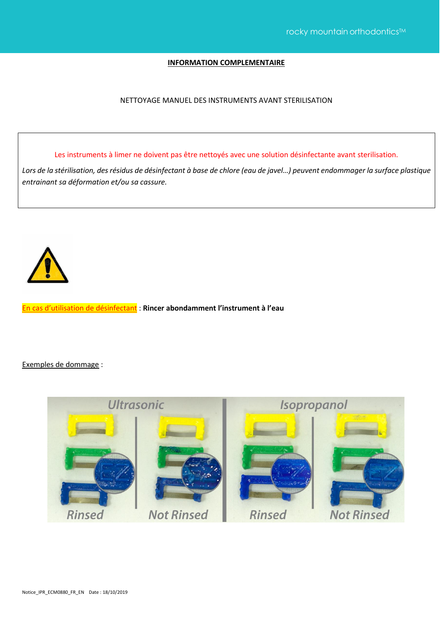$\mathcal{C}$  is a sterilization instruction instruction  $\mathcal{C}$ 

#### **INFORMATION COMPLEMENTAIRE**

#### NETTOYAGE MANUEL DES INSTRUMENTS AVANT STERILISATION

Les instruments à limer ne doivent pas être nettoyés avec une solution désinfectante avant sterilisation.

*Lors de la stérilisation, des résidus de désinfectant à base de chlore (eau de javel…) peuvent endommager la surface plastique entrainant sa déformation et/ou sa cassure.*



En cas d'utilisation de désinfectant : **Rincer abondamment l'instrument à l'eau** 

Exemples de dommage :